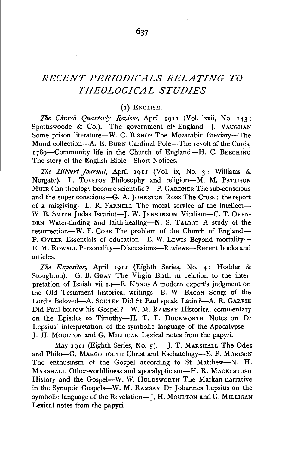# *RECENT PERIODICALS RELATING TO THEOLOGICAL STUDIES*

# (I) ENGLISH.

*The Church Quarterly Review,* April 19II (Vol. lxxii, No. 143: Spottiswoode  $\&$  Co.). The government of England---J. VAUGHAN Some prison literature-W. C. BISHOP The Mozarabic Breviary-The Mond collection-A. E. BURN Cardinal Pole-The revolt of the Curés, 1789-Community life in the Church of England-H. C. BEECHING The story of the English Bible-Short Notices.

*The Hibbert Journal*, April 1911 (Vol. ix, No. 3: Williams & Norgate). L. TOLSTOY Philosophy and religion-M. M. PATTISON MUIR Can theology become scientific  $?-P$ . GARDNER The sub-conscious and the super-conscious-G. A. JOHNSTON Ross The Cross: the report of a misgiving-L. R. FARNELL The moral service of the intellect-W. B. SMITH Judas Iscariot--J. W. JENKINSON Vitalism--C. T. OVEN-DEN Water-finding and faith-healing-N. S. TALBOT A study of the resurrection-W. F. COBB The problem of the Church of England-P. OYLER Essentials of education-E. W. Lewis Beyond mortality-E. M. RowELL Personality-Discussions-Reviews-Recent books and articles.

*The Expositor,* April 19II (Eighth Series, No. 4: Hodder & Stoughton). G. B. GRAY The Virgin Birth in relation to the interpretation of Isaiah vii 14-E. König A modern expert's judgment on the Old Testament historical writings-B. W. BACON Songs of the Lord's Beloved-A. SouTER Did St Paul speak Latin ?- A. E. GARVIE Did Paul borrow his Gospel ?- W. M. RAMSAY Historical commentary on the Epistles to Timothy-H. T. F. DUCKWORTH Notes on Dr Lepsius' interpretation of the symbolic language of the Apocalypse-}. H. MouLTON and G. MILLIGAN Lexical notes from the papyri.

May 1911 (Eighth Series, No. 5). J. T. MARSHALL The Odes and Philo-G. MARGOLIOUTH Christ and Eschatology-E. F. MORISON The enthusiasm of the Gospel according to St Matthew-N. H. MARSHALL Other-worldliness and apocalypticism-H. R. MACKINTOSH History and the Gospel-W. W. HoLDSWORTH The Markan narrative in the Synoptic Gospels-W. M. RAMSAY Dr Johannes Lepsius on the symbolic language of the Revelation-J. H. MouLTON and G. MILLIGAN Lexical notes from the papyri.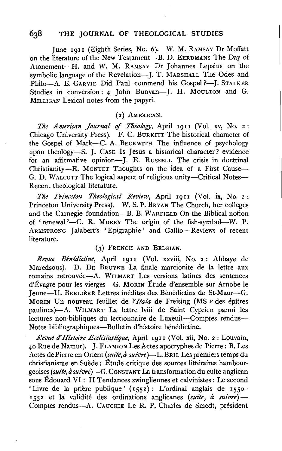### 638 THE JOURNAL OF THEOLOGICAL STUDIES

June 1911 (Eighth Series, No. 6). W. M. RAMSAY Dr Moffatt on the literature of the New Testament-B. D. EERDMANS The Day of Atonement-H. and W. M. RAMSAY Dr Johannes Lepsius on the symbolic language of the Revelation---J. T. MARSHALL The Odes and Philo-A. E. GARVIE Did Paul commend his Gospel ?-- J. STALKER Studies in conversion: 4 John Bunyan-J. H. MOULTON and G. MILLIGAN Lexical notes from the papyri.

# (2) AMERICAN.

*The American Journal of Theology*, April 1911 (Vol. xv, No. 2: Chicago University Press). F. C. BURKITT The historical character of the Gospel of Mark-C. A. BECKWITH The influence of psychology upon theology-S. J. CASE Is Jesus a historical character? evidence for an affirmative opinion-I. E. RussELL The crisis in doctrinal Christianity-E. MONTET Thoughts on the idea of a First Cause-G. D. WALCOTT The logical aspect of religious unity-Critical Notes-Recent theological literature.

*The Princeton Theological Review*, April 1911 (Vol. ix, No. 2: Princeton University Press). W. S. P. BRYAN The Church, her colleges and the Carnegie foundation-B. B. WARFIELD On the Biblical notion of 'renewal'-C. R. Morey The origin of the fish-symbol--W. P. ARMSTRONG Jalabert's 'Epigraphie' and Gallio-Reviews of recent literature.

### (3) FRENCH AND BELGIAN.

*Revue Benedictine,* April rgn (Vol. xxviii, No. 2: Abbaye de Maredsous). D. DE BRUYNE La finale marcionite de la lettre aux romains retrouvée-A. WILMART Les versions latines des sentences d'Evagre pour les vierges-G. MoRIN Etude d'ensemble sur Arnobe le Jeune-U. BERLIERE Lettres inedites des Benedictins de St-Maur-G. MORIN Un nouveau feuillet de *l'Itala* de Freising (MS *r* des epitres paulines)-A. WILMART La lettre lviii de Saint Cyprien parmi les lectures non-bibliques du lectionnaire de Luxeuil--Comptes rendus-Notes bibliographiques-Bulletin d'histoire bénédictine.

*Revue d' Histoire Eccllsiastique,* April I9II (Vol. xii, No. 2: Louvain, 40 Rue de Namur). J. FLAMION Les Actes apocryphes de Pierre: B. Les Actes de Pierre en Orient *(suite, à suivre*)-L. BRIL Les premiers temps du christianisme en Suède : Étude critique des sources littéraires hambourgeoises *(suite, à suivre*)-G. CONSTANT La transformation du culte anglican sous Edouard VI : II Tendances zwingliennes et calvinistes : Le second 'Livre de la prière publique' (1552): L'ordinal anglais de 1550r552 et la validite des ordinations anglicanes *(suite, a suivre)-* Comptes rendus-A. CAUCHIE Le R. P. Charles de Smedt, president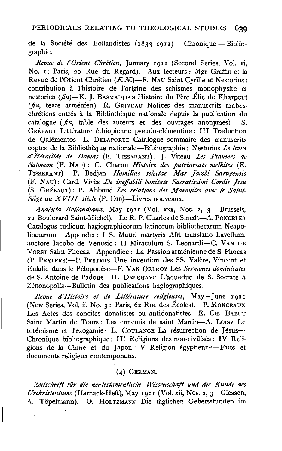# PERIODICALS RELATING TO THEOLOGICAL STUDIES **639**

de la Société des Bollandistes  $(1833-1911)$  - Chronique - Bibliographie.

*Revue de !'Orient Chretien,* January I911 (Second Series, Vol. vi, No. I: Paris, 20 Rue du Regard). Aux lecteurs: Mgr Graffin et la Revue de l'Orient Chrétien  $(F. N)$ —F. Nau Saint Cyrille et Nestorius: contribution a l'histoire de l'origine des schismes monophysite et nestorien ( $fn$ )-K. J. BASMADJIAN Histoire du Père Élie de Kharpout (*fin*, texte arménien)-R. GRIVEAU Notices des manuscrits arabeschretiens entres a la Bibliotheque nationale depuis la publication du catalogue  $(\hat{m}, \hat{n})$  table des auteurs et des ouvrages anonymes) - S. GRÉBAUT Littérature éthiopienne pseudo-clémentine: III Traduction de Qalementos-L. DELAPORTE Catalogue sommaire des manuscrits coptes de la Bibliotheque nationale-Bibliographie: Nestorius *Le livre d'Hiradide de Damas* (E. TISSERANT): J. Viteau *Les Psaumes de Salomon* (F. NAu): C. Charon *Histoire des patriarcats me/kites* (E. TISSERANT) : P. Bedjan *Homiliae selectae Mar Jacobi Sarugensis*  (F. N AU) : Card. Vives *De ineffabili bonitate Sacrati'ssimi Cordis Jesu*  (S. GREBAUT): P. Abboud *Les relations des Maronites avec le Saint-*Siège au XVIII<sup>e</sup> siècle (P. DIB)-Livres nouveaux.

*Analecta Bollandiana,* May I9II (Vol. xxx, Nos. 2, 3: Brussels, 22 Boulevard Saint-Michel). Le R. P. Charles de Smedt-A. PoNCELET Catalogus codicum hagiographicorum latinorum bibliothecarum Neapolitanarum. Appendix : I S. Mauri martyris Afri translatio Lavellum, auctore Iacobo de Venusio: II Miraculum S. Leonardi-C. VAN DE VoRsT Saint Phocas. Appendice : La Passion armenienne de S. Phocas (P. PEETERs)-P. PEETERS Une invention des SS. Valere, Vincent et Eulalie dans le Peloponese-F. VAN 0RTROY Les *Sermones dominicales*  de S. Antoine de Padoue-H. DELEHAYE L'aqueduc de S. Socrate à Zénonopolis-Bulletin des publications hagiographiques.

Revue d'Histoire et de Littérature religieuses, May-June 1911 (New Series, Vol. ii, No.  $3:$  Paris, 62 Rue des Écoles). P. MONCEAUX Les Actes des conciles donatistes ou antidonatistes-E. CH. BABUT Saint Martin de Tours : Les ennemis de saint Martin-A. L01sv Le totémisme et l'exogamie-L. Coulange La résurrection de Jésus-Chronique bibliographique: III Religions des non-civilisés : IV Religions de la Chine et du Japon : V Religion egyptienne-Faits et documents religieux contemporains.

### (4) GERMAN.

*Zeitschrift fiir die neutestamentliche Wissenschaft und die Kunde des Urchristentums* (Harnack-Heft), May I911 (Vol. xii, Nos. 2, 3: Giessen, A. Topelmann). 0. HOLTZMANN Die taglichen Gebetsstunden im